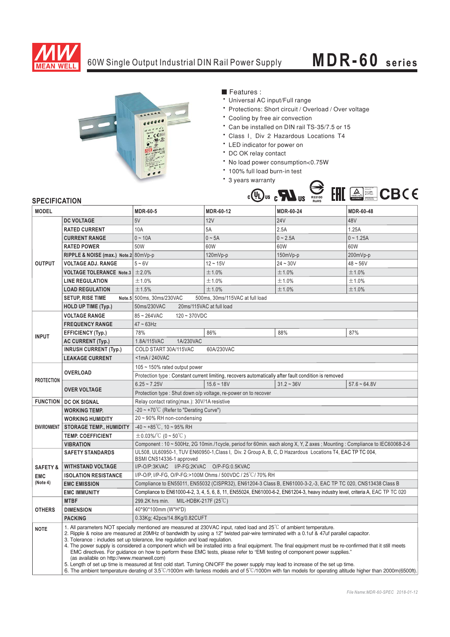

## 60W Single Output Industrial DIN Rail Power Supply **MDR-60 series**



■ Features :

- Universal AC input/Full range
- Protections: Short circuit / Overload / Over voltage
- \* Cooling by free air convection
- \* Can be installed on DIN rail TS-35/7.5 or 15
- Class I, Div 2 Hazardous Locations T4
- \* LED indicator for power on
- \* DC OK relay contact
- No load power consumption<0.75W
- 100% full load burn-in test
- \* 3 years warranty



## **SPECIFICATION**

| <b>MODEL</b>                                  |                                                                       | <b>MDR-60-5</b>                                                                                                                                                                                                                                                                                                                                                                                                                                                                                                                                                                                                                                                                                                                                                                                                                                                                                                                                                                                                            | MDR-60-12    | <b>MDR-60-24</b> | MDR-60-48      |  |
|-----------------------------------------------|-----------------------------------------------------------------------|----------------------------------------------------------------------------------------------------------------------------------------------------------------------------------------------------------------------------------------------------------------------------------------------------------------------------------------------------------------------------------------------------------------------------------------------------------------------------------------------------------------------------------------------------------------------------------------------------------------------------------------------------------------------------------------------------------------------------------------------------------------------------------------------------------------------------------------------------------------------------------------------------------------------------------------------------------------------------------------------------------------------------|--------------|------------------|----------------|--|
|                                               | <b>DC VOLTAGE</b>                                                     | 5V                                                                                                                                                                                                                                                                                                                                                                                                                                                                                                                                                                                                                                                                                                                                                                                                                                                                                                                                                                                                                         | 12V          | <b>24V</b>       | 48V            |  |
| <b>OUTPUT</b>                                 |                                                                       |                                                                                                                                                                                                                                                                                                                                                                                                                                                                                                                                                                                                                                                                                                                                                                                                                                                                                                                                                                                                                            |              |                  |                |  |
|                                               | <b>RATED CURRENT</b>                                                  | 10A                                                                                                                                                                                                                                                                                                                                                                                                                                                                                                                                                                                                                                                                                                                                                                                                                                                                                                                                                                                                                        | 5A           | 2.5A             | 1.25A          |  |
|                                               | <b>CURRENT RANGE</b>                                                  | $0 - 10A$                                                                                                                                                                                                                                                                                                                                                                                                                                                                                                                                                                                                                                                                                                                                                                                                                                                                                                                                                                                                                  | $0 \sim 5A$  | $0 - 2.5A$       | $0 - 1.25A$    |  |
|                                               | <b>RATED POWER</b>                                                    | 50W                                                                                                                                                                                                                                                                                                                                                                                                                                                                                                                                                                                                                                                                                                                                                                                                                                                                                                                                                                                                                        | 60W          | 60W              | 60W            |  |
|                                               | RIPPLE & NOISE (max.) Note.2 80mVp-p                                  |                                                                                                                                                                                                                                                                                                                                                                                                                                                                                                                                                                                                                                                                                                                                                                                                                                                                                                                                                                                                                            | $120mVp-p$   | 150mVp-p         | 200mVp-p       |  |
|                                               | <b>VOLTAGE ADJ. RANGE</b>                                             | $5 - 6V$                                                                                                                                                                                                                                                                                                                                                                                                                                                                                                                                                                                                                                                                                                                                                                                                                                                                                                                                                                                                                   | $12 - 15V$   | $24 - 30V$       | $48 - 56V$     |  |
|                                               | <b>VOLTAGE TOLERANCE</b> Note.3 $\pm 2.0\%$                           |                                                                                                                                                                                                                                                                                                                                                                                                                                                                                                                                                                                                                                                                                                                                                                                                                                                                                                                                                                                                                            | ±1.0%        | ±1.0%            | ±1.0%          |  |
|                                               | <b>LINE REGULATION</b>                                                | ±1.0%                                                                                                                                                                                                                                                                                                                                                                                                                                                                                                                                                                                                                                                                                                                                                                                                                                                                                                                                                                                                                      | ±1.0%        | ±1.0%            | ±1.0%          |  |
|                                               | <b>LOAD REGULATION</b>                                                | ±1.5%                                                                                                                                                                                                                                                                                                                                                                                                                                                                                                                                                                                                                                                                                                                                                                                                                                                                                                                                                                                                                      | ±1.0%        | ±1.0%            | ±1.0%          |  |
|                                               | SETUP, RISE TIME                                                      | Note.5 500ms, 30ms/230VAC<br>500ms, 30ms/115VAC at full load                                                                                                                                                                                                                                                                                                                                                                                                                                                                                                                                                                                                                                                                                                                                                                                                                                                                                                                                                               |              |                  |                |  |
|                                               | 50ms/230VAC<br>20ms/115VAC at full load<br><b>HOLD UP TIME (Typ.)</b> |                                                                                                                                                                                                                                                                                                                                                                                                                                                                                                                                                                                                                                                                                                                                                                                                                                                                                                                                                                                                                            |              |                  |                |  |
| <b>INPUT</b>                                  | <b>VOLTAGE RANGE</b>                                                  | $85 - 264$ VAC<br>$120 - 370VDC$                                                                                                                                                                                                                                                                                                                                                                                                                                                                                                                                                                                                                                                                                                                                                                                                                                                                                                                                                                                           |              |                  |                |  |
|                                               | <b>FREQUENCY RANGE</b>                                                | $47 \sim 63$ Hz                                                                                                                                                                                                                                                                                                                                                                                                                                                                                                                                                                                                                                                                                                                                                                                                                                                                                                                                                                                                            |              |                  |                |  |
|                                               | <b>EFFICIENCY (Typ.)</b>                                              | 78%                                                                                                                                                                                                                                                                                                                                                                                                                                                                                                                                                                                                                                                                                                                                                                                                                                                                                                                                                                                                                        | 86%          | 88%              | 87%            |  |
|                                               | <b>AC CURRENT (Typ.)</b>                                              | 1.8A/115VAC<br>1A/230VAC                                                                                                                                                                                                                                                                                                                                                                                                                                                                                                                                                                                                                                                                                                                                                                                                                                                                                                                                                                                                   |              |                  |                |  |
|                                               | <b>INRUSH CURRENT (Typ.)</b>                                          | COLD START 30A/115VAC<br>60A/230VAC                                                                                                                                                                                                                                                                                                                                                                                                                                                                                                                                                                                                                                                                                                                                                                                                                                                                                                                                                                                        |              |                  |                |  |
|                                               | <b>LEAKAGE CURRENT</b>                                                | <1mA/240VAC                                                                                                                                                                                                                                                                                                                                                                                                                                                                                                                                                                                                                                                                                                                                                                                                                                                                                                                                                                                                                |              |                  |                |  |
| <b>PROTECTION</b>                             |                                                                       | 105 ~ 150% rated output power                                                                                                                                                                                                                                                                                                                                                                                                                                                                                                                                                                                                                                                                                                                                                                                                                                                                                                                                                                                              |              |                  |                |  |
|                                               | <b>OVERLOAD</b>                                                       | Protection type : Constant current limiting, recovers automatically after fault condition is removed                                                                                                                                                                                                                                                                                                                                                                                                                                                                                                                                                                                                                                                                                                                                                                                                                                                                                                                       |              |                  |                |  |
|                                               | <b>OVER VOLTAGE</b>                                                   | $6.25 - 7.25V$                                                                                                                                                                                                                                                                                                                                                                                                                                                                                                                                                                                                                                                                                                                                                                                                                                                                                                                                                                                                             | $15.6 - 18V$ | $31.2 - 36V$     | $57.6 - 64.8V$ |  |
|                                               |                                                                       | Protection type : Shut down o/p voltage, re-power on to recover                                                                                                                                                                                                                                                                                                                                                                                                                                                                                                                                                                                                                                                                                                                                                                                                                                                                                                                                                            |              |                  |                |  |
|                                               | <b>FUNCTION   DC OK SIGNAL</b>                                        | Relay contact rating(max.): 30V/1A resistive                                                                                                                                                                                                                                                                                                                                                                                                                                                                                                                                                                                                                                                                                                                                                                                                                                                                                                                                                                               |              |                  |                |  |
| <b>ENVIRONMENT</b>                            | <b>WORKING TEMP.</b>                                                  | $-20 \sim +70^{\circ}$ (Refer to "Derating Curve")                                                                                                                                                                                                                                                                                                                                                                                                                                                                                                                                                                                                                                                                                                                                                                                                                                                                                                                                                                         |              |                  |                |  |
|                                               | <b>WORKING HUMIDITY</b>                                               | 20~90% RH non-condensing                                                                                                                                                                                                                                                                                                                                                                                                                                                                                                                                                                                                                                                                                                                                                                                                                                                                                                                                                                                                   |              |                  |                |  |
|                                               | <b>STORAGE TEMP., HUMIDITY</b>                                        | $-40 \sim +85^{\circ}$ C, 10 ~ 95% RH                                                                                                                                                                                                                                                                                                                                                                                                                                                                                                                                                                                                                                                                                                                                                                                                                                                                                                                                                                                      |              |                  |                |  |
|                                               | <b>TEMP. COEFFICIENT</b>                                              | $\pm$ 0.03%/°C (0 ~ 50°C)                                                                                                                                                                                                                                                                                                                                                                                                                                                                                                                                                                                                                                                                                                                                                                                                                                                                                                                                                                                                  |              |                  |                |  |
|                                               | <b>VIBRATION</b>                                                      | Component: 10 ~ 500Hz, 2G 10min./1cycle, period for 60min. each along X, Y, Z axes; Mounting: Compliance to IEC60068-2-6                                                                                                                                                                                                                                                                                                                                                                                                                                                                                                                                                                                                                                                                                                                                                                                                                                                                                                   |              |                  |                |  |
| <b>SAFETY &amp;</b><br><b>EMC</b><br>(Note 4) | <b>SAFETY STANDARDS</b>                                               | UL508, UL60950-1, TUV EN60950-1, Class I, Div. 2 Group A, B, C, D Hazardous Locations T4, EAC TP TC 004,<br>BSMI CNS14336-1 approved                                                                                                                                                                                                                                                                                                                                                                                                                                                                                                                                                                                                                                                                                                                                                                                                                                                                                       |              |                  |                |  |
|                                               | <b>WITHSTAND VOLTAGE</b>                                              | I/P-O/P:3KVAC I/P-FG:2KVAC O/P-FG:0.5KVAC                                                                                                                                                                                                                                                                                                                                                                                                                                                                                                                                                                                                                                                                                                                                                                                                                                                                                                                                                                                  |              |                  |                |  |
|                                               | <b>ISOLATION RESISTANCE</b>                                           | I/P-O/P, I/P-FG, O/P-FG:>100M Ohms / 500VDC / 25°C/70% RH                                                                                                                                                                                                                                                                                                                                                                                                                                                                                                                                                                                                                                                                                                                                                                                                                                                                                                                                                                  |              |                  |                |  |
|                                               | <b>EMC EMISSION</b>                                                   | Compliance to EN55011, EN55032 (CISPR32), EN61204-3 Class B, EN61000-3-2,-3, EAC TP TC 020, CNS13438 Class B                                                                                                                                                                                                                                                                                                                                                                                                                                                                                                                                                                                                                                                                                                                                                                                                                                                                                                               |              |                  |                |  |
|                                               | <b>EMC IMMUNITY</b>                                                   | Compliance to EN61000-4-2, 3, 4, 5, 6, 8, 11, EN55024, EN61000-6-2, EN61204-3, heavy industry level, criteria A, EAC TP TC 020                                                                                                                                                                                                                                                                                                                                                                                                                                                                                                                                                                                                                                                                                                                                                                                                                                                                                             |              |                  |                |  |
| <b>OTHERS</b>                                 | <b>MTBF</b>                                                           | 299.2K hrs min.<br>MIL-HDBK-217F $(25^{\circ}C)$                                                                                                                                                                                                                                                                                                                                                                                                                                                                                                                                                                                                                                                                                                                                                                                                                                                                                                                                                                           |              |                  |                |  |
|                                               | <b>DIMENSION</b>                                                      | 40*90*100mm (W*H*D)                                                                                                                                                                                                                                                                                                                                                                                                                                                                                                                                                                                                                                                                                                                                                                                                                                                                                                                                                                                                        |              |                  |                |  |
|                                               | <b>PACKING</b>                                                        | 0.33Kg; 42pcs/14.8Kg/0.82CUFT                                                                                                                                                                                                                                                                                                                                                                                                                                                                                                                                                                                                                                                                                                                                                                                                                                                                                                                                                                                              |              |                  |                |  |
| <b>NOTE</b>                                   |                                                                       | 1. All parameters NOT specially mentioned are measured at 230VAC input, rated load and $25^{\circ}$ C of ambient temperature.<br>2. Ripple & noise are measured at 20MHz of bandwidth by using a 12" twisted pair-wire terminated with a 0.1uf & 47uf parallel capacitor.<br>3. Tolerance: includes set up tolerance, line regulation and load regulation.<br>4. The power supply is considered a component which will be installed into a final equipment. The final equipment must be re-confirmed that it still meets<br>EMC directives. For guidance on how to perform these EMC tests, please refer to "EMI testing of component power supplies."<br>(as available on http://www.meanwell.com)<br>5. Length of set up time is measured at first cold start. Turning ON/OFF the power supply may lead to increase of the set up time.<br>6. The ambient temperature derating of $3.5^{\circ}$ C/1000m with fanless models and of $5^{\circ}$ C/1000m with fan models for operating altitude higher than 2000m(6500ft). |              |                  |                |  |